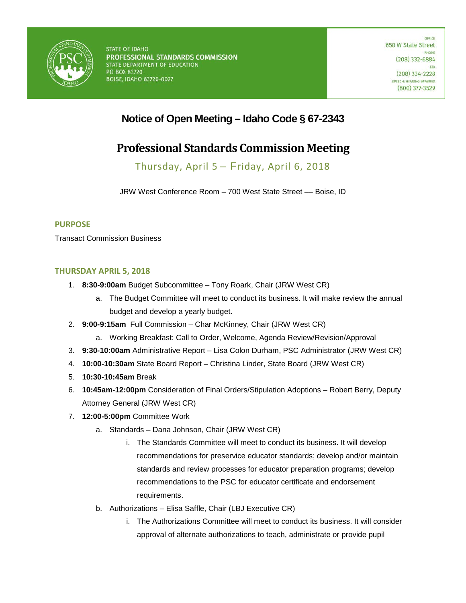

## **Notice of Open Meeting – Idaho Code § 67-2343**

# **Professional Standards Commission Meeting**

Thursday, April 5 – Friday, April 6, 2018

JRW West Conference Room - 700 West State Street - Boise, ID

### **PURPOSE**

Transact Commission Business

### **THURSDAY APRIL 5, 2018**

- 1. **8:30-9:00am** Budget Subcommittee Tony Roark, Chair (JRW West CR)
	- a. The Budget Committee will meet to conduct its business. It will make review the annual budget and develop a yearly budget.
- 2. **9:00-9:15am** Full Commission Char McKinney, Chair (JRW West CR)
	- a. Working Breakfast: Call to Order, Welcome, Agenda Review/Revision/Approval
- 3. **9:30-10:00am** Administrative Report Lisa Colon Durham, PSC Administrator (JRW West CR)
- 4. **10:00-10:30am** State Board Report Christina Linder, State Board (JRW West CR)
- 5. **10:30-10:45am** Break
- 6. **10:45am-12:00pm** Consideration of Final Orders/Stipulation Adoptions Robert Berry, Deputy Attorney General (JRW West CR)
- 7. **12:00-5:00pm** Committee Work
	- a. Standards Dana Johnson, Chair (JRW West CR)
		- i. The Standards Committee will meet to conduct its business. It will develop recommendations for preservice educator standards; develop and/or maintain standards and review processes for educator preparation programs; develop recommendations to the PSC for educator certificate and endorsement requirements.
	- b. Authorizations Elisa Saffle, Chair (LBJ Executive CR)
		- i. The Authorizations Committee will meet to conduct its business. It will consider approval of alternate authorizations to teach, administrate or provide pupil